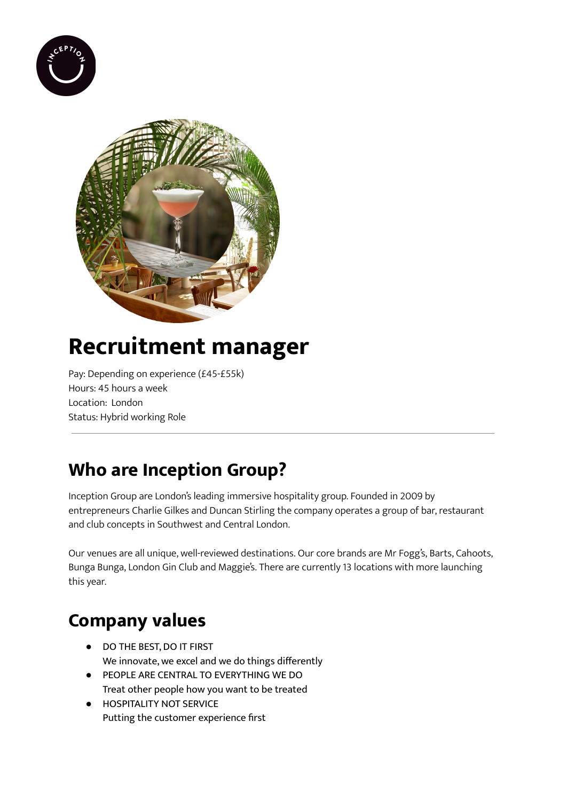



# **Recruitment manager**

Pay: Depending on experience (£45-£55k) Hours: 45 hours a week Location: London Status: Hybrid working Role

## **Who are Inception Group?**

Inception Group are London's leading immersive hospitality group. Founded in 2009 by entrepreneurs Charlie Gilkes and Duncan Stirling the company operates a group of bar, restaurant and club concepts in Southwest and Central London.

Our venues are all unique, well-reviewed destinations. Our core brands are Mr Fogg's, Barts, Cahoots, Bunga Bunga, London Gin Club and Maggie's. There are currently 13 locations with more launching this year.

### **Company values**

- DO THE BEST, DO IT FIRST We innovate, we excel and we do things differently
- PEOPLE ARE CENTRAL TO EVERYTHING WE DO Treat other people how you want to be treated
- **HOSPITALITY NOT SERVICE** Putting the customer experience first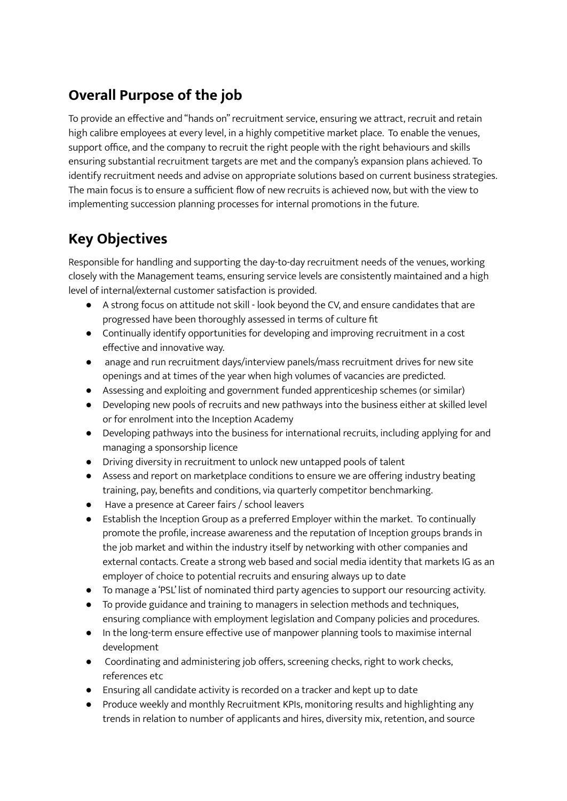#### **Overall Purpose of the job**

To provide an effective and "hands on" recruitment service, ensuring we attract, recruit and retain high calibre employees at every level, in a highly competitive market place. To enable the venues, support office, and the company to recruit the right people with the right behaviours and skills ensuring substantial recruitment targets are met and the company's expansion plans achieved. To identify recruitment needs and advise on appropriate solutions based on current business strategies. The main focus is to ensure a sufficient flow of new recruits is achieved now, but with the view to implementing succession planning processes for internal promotions in the future.

### **Key Objectives**

Responsible for handling and supporting the day-to-day recruitment needs of the venues, working closely with the Management teams, ensuring service levels are consistently maintained and a high level of internal/external customer satisfaction is provided.

- A strong focus on attitude not skill look beyond the CV, and ensure candidates that are progressed have been thoroughly assessed in terms of culture fit
- Continually identify opportunities for developing and improving recruitment in a cost effective and innovative way.
- anage and run recruitment days/interview panels/mass recruitment drives for new site openings and at times of the year when high volumes of vacancies are predicted.
- Assessing and exploiting and government funded apprenticeship schemes (or similar)
- Developing new pools of recruits and new pathways into the business either at skilled level or for enrolment into the Inception Academy
- Developing pathways into the business for international recruits, including applying for and managing a sponsorship licence
- Driving diversity in recruitment to unlock new untapped pools of talent
- Assess and report on marketplace conditions to ensure we are offering industry beating training, pay, benefits and conditions, via quarterly competitor benchmarking.
- Have a presence at Career fairs / school leavers
- Establish the Inception Group as a preferred Employer within the market. To continually promote the profile, increase awareness and the reputation of Inception groups brands in the job market and within the industry itself by networking with other companies and external contacts. Create a strong web based and social media identity that markets IG as an employer of choice to potential recruits and ensuring always up to date
- To manage a 'PSL' list of nominated third party agencies to support our resourcing activity.
- To provide guidance and training to managers in selection methods and techniques, ensuring compliance with employment legislation and Company policies and procedures.
- In the long-term ensure effective use of manpower planning tools to maximise internal development
- Coordinating and administering job offers, screening checks, right to work checks, references etc
- Ensuring all candidate activity is recorded on a tracker and kept up to date
- Produce weekly and monthly Recruitment KPIs, monitoring results and highlighting any trends in relation to number of applicants and hires, diversity mix, retention, and source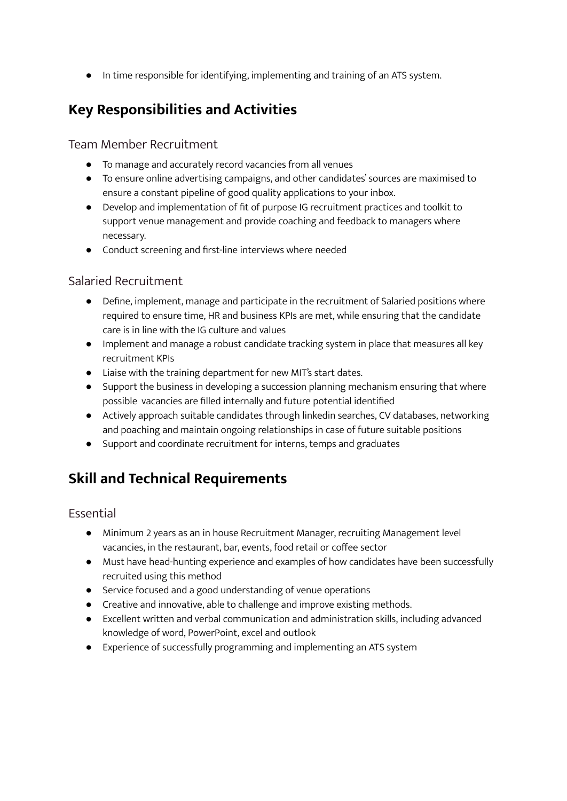● In time responsible for identifying, implementing and training of an ATS system.

#### **Key Responsibilities and Activities**

Team Member Recruitment

- To manage and accurately record vacancies from all venues
- To ensure online advertising campaigns, and other candidates' sources are maximised to ensure a constant pipeline of good quality applications to your inbox.
- Develop and implementation of fit of purpose IG recruitment practices and toolkit to support venue management and provide coaching and feedback to managers where necessary.
- Conduct screening and first-line interviews where needed

#### Salaried Recruitment

- Define, implement, manage and participate in the recruitment of Salaried positions where required to ensure time, HR and business KPIs are met, while ensuring that the candidate care is in line with the IG culture and values
- Implement and manage a robust candidate tracking system in place that measures all key recruitment KPIs
- Liaise with the training department for new MIT's start dates.
- Support the business in developing a succession planning mechanism ensuring that where possible vacancies are filled internally and future potential identified
- Actively approach suitable candidates through linkedin searches, CV databases, networking and poaching and maintain ongoing relationships in case of future suitable positions
- Support and coordinate recruitment for interns, temps and graduates

### **Skill and Technical Requirements**

Essential

- Minimum 2 years as an in house Recruitment Manager, recruiting Management level vacancies, in the restaurant, bar, events, food retail or coffee sector
- Must have head-hunting experience and examples of how candidates have been successfully recruited using this method
- Service focused and a good understanding of venue operations
- Creative and innovative, able to challenge and improve existing methods.
- Excellent written and verbal communication and administration skills, including advanced knowledge of word, PowerPoint, excel and outlook
- Experience of successfully programming and implementing an ATS system